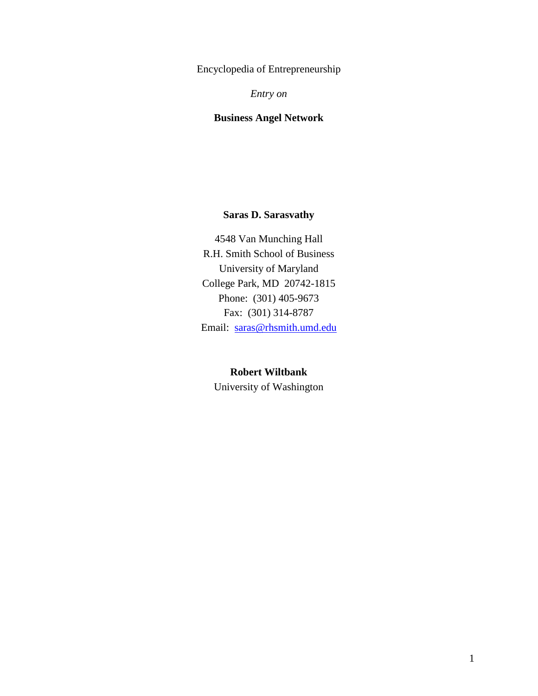Encyclopedia of Entrepreneurship

*Entry on*

# **Business Angel Network**

# **Saras D. Sarasvathy**

4548 Van Munching Hall R.H. Smith School of Business University of Maryland College Park, MD 20742-1815 Phone: (301) 405-9673 Fax: (301) 314-8787 Email: [saras@rhsmith.umd.edu](mailto:saras@rhsmith.umd.edu)

# **Robert Wiltbank**

University of Washington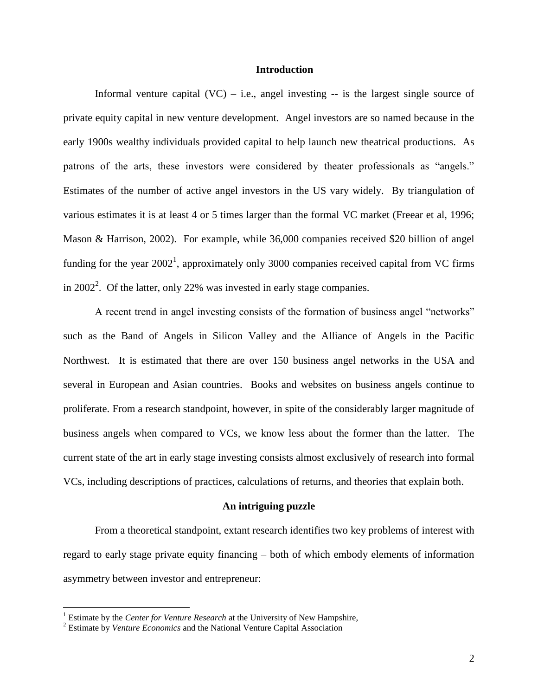## **Introduction**

Informal venture capital  $(VC) - i.e.,$  angel investing -- is the largest single source of private equity capital in new venture development. Angel investors are so named because in the early 1900s wealthy individuals provided capital to help launch new theatrical productions. As patrons of the arts, these investors were considered by theater professionals as "angels." Estimates of the number of active angel investors in the US vary widely. By triangulation of various estimates it is at least 4 or 5 times larger than the formal VC market (Freear et al, 1996; Mason & Harrison, 2002). For example, while 36,000 companies received \$20 billion of angel funding for the year  $2002<sup>1</sup>$ , approximately only 3000 companies received capital from VC firms in  $2002<sup>2</sup>$ . Of the latter, only 22% was invested in early stage companies.

A recent trend in angel investing consists of the formation of business angel "networks" such as the Band of Angels in Silicon Valley and the Alliance of Angels in the Pacific Northwest. It is estimated that there are over 150 business angel networks in the USA and several in European and Asian countries. Books and websites on business angels continue to proliferate. From a research standpoint, however, in spite of the considerably larger magnitude of business angels when compared to VCs, we know less about the former than the latter. The current state of the art in early stage investing consists almost exclusively of research into formal VCs, including descriptions of practices, calculations of returns, and theories that explain both.

#### **An intriguing puzzle**

From a theoretical standpoint, extant research identifies two key problems of interest with regard to early stage private equity financing – both of which embody elements of information asymmetry between investor and entrepreneur:

 $\overline{a}$ 

<sup>&</sup>lt;sup>1</sup> Estimate by the *Center for Venture Research* at the University of New Hampshire,

<sup>2</sup> Estimate by *Venture Economics* and the National Venture Capital Association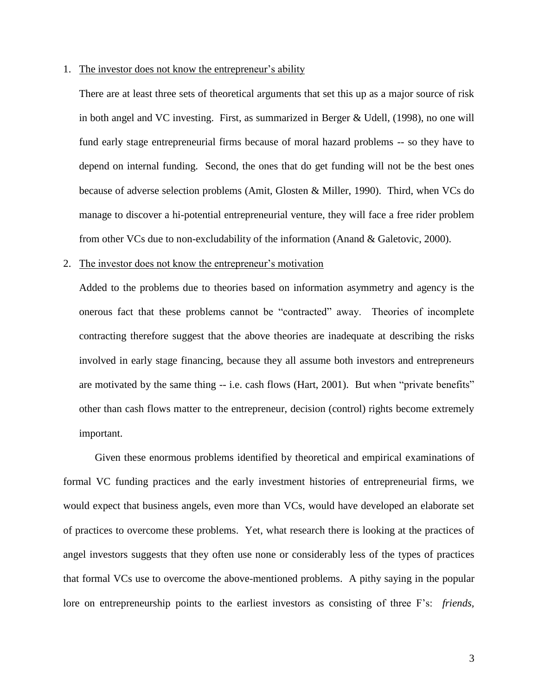#### 1. The investor does not know the entrepreneur"s ability

There are at least three sets of theoretical arguments that set this up as a major source of risk in both angel and VC investing. First, as summarized in Berger & Udell, (1998), no one will fund early stage entrepreneurial firms because of moral hazard problems -- so they have to depend on internal funding. Second, the ones that do get funding will not be the best ones because of adverse selection problems (Amit, Glosten & Miller, 1990). Third, when VCs do manage to discover a hi-potential entrepreneurial venture, they will face a free rider problem from other VCs due to non-excludability of the information (Anand & Galetovic, 2000).

## 2. The investor does not know the entrepreneur"s motivation

Added to the problems due to theories based on information asymmetry and agency is the onerous fact that these problems cannot be "contracted" away. Theories of incomplete contracting therefore suggest that the above theories are inadequate at describing the risks involved in early stage financing, because they all assume both investors and entrepreneurs are motivated by the same thing -- i.e. cash flows (Hart, 2001). But when "private benefits" other than cash flows matter to the entrepreneur, decision (control) rights become extremely important.

Given these enormous problems identified by theoretical and empirical examinations of formal VC funding practices and the early investment histories of entrepreneurial firms, we would expect that business angels, even more than VCs, would have developed an elaborate set of practices to overcome these problems. Yet, what research there is looking at the practices of angel investors suggests that they often use none or considerably less of the types of practices that formal VCs use to overcome the above-mentioned problems. A pithy saying in the popular lore on entrepreneurship points to the earliest investors as consisting of three F"s: *friends,*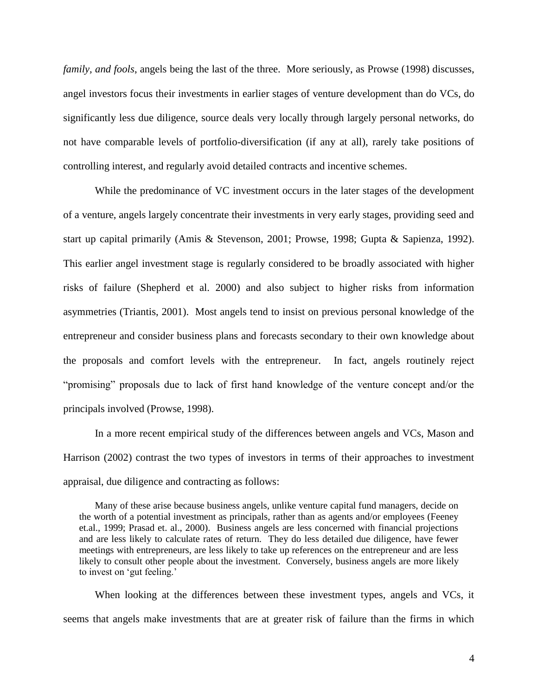*family, and fools*, angels being the last of the three. More seriously, as Prowse (1998) discusses, angel investors focus their investments in earlier stages of venture development than do VCs, do significantly less due diligence, source deals very locally through largely personal networks, do not have comparable levels of portfolio-diversification (if any at all), rarely take positions of controlling interest, and regularly avoid detailed contracts and incentive schemes.

While the predominance of VC investment occurs in the later stages of the development of a venture, angels largely concentrate their investments in very early stages, providing seed and start up capital primarily (Amis & Stevenson, 2001; Prowse, 1998; Gupta & Sapienza, 1992). This earlier angel investment stage is regularly considered to be broadly associated with higher risks of failure (Shepherd et al. 2000) and also subject to higher risks from information asymmetries (Triantis, 2001). Most angels tend to insist on previous personal knowledge of the entrepreneur and consider business plans and forecasts secondary to their own knowledge about the proposals and comfort levels with the entrepreneur. In fact, angels routinely reject "promising" proposals due to lack of first hand knowledge of the venture concept and/or the principals involved (Prowse, 1998).

In a more recent empirical study of the differences between angels and VCs, Mason and Harrison (2002) contrast the two types of investors in terms of their approaches to investment appraisal, due diligence and contracting as follows:

Many of these arise because business angels, unlike venture capital fund managers, decide on the worth of a potential investment as principals, rather than as agents and/or employees (Feeney et.al., 1999; Prasad et. al., 2000). Business angels are less concerned with financial projections and are less likely to calculate rates of return. They do less detailed due diligence, have fewer meetings with entrepreneurs, are less likely to take up references on the entrepreneur and are less likely to consult other people about the investment. Conversely, business angels are more likely to invest on 'gut feeling.'

When looking at the differences between these investment types, angels and VCs, it seems that angels make investments that are at greater risk of failure than the firms in which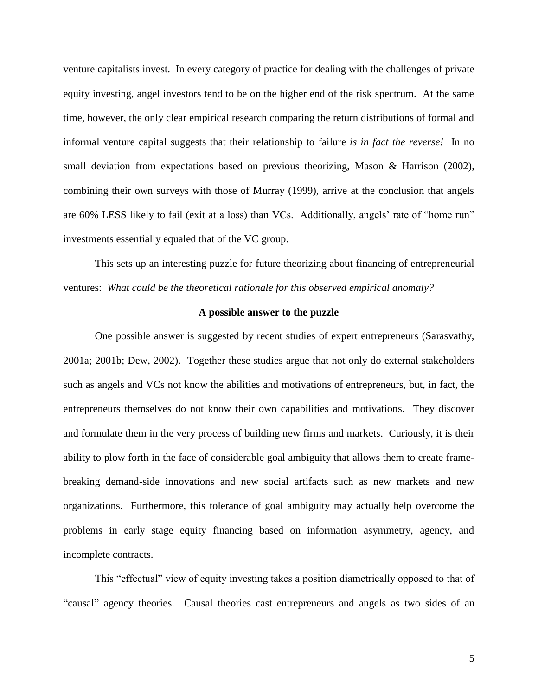venture capitalists invest. In every category of practice for dealing with the challenges of private equity investing, angel investors tend to be on the higher end of the risk spectrum. At the same time, however, the only clear empirical research comparing the return distributions of formal and informal venture capital suggests that their relationship to failure *is in fact the reverse!* In no small deviation from expectations based on previous theorizing, Mason & Harrison (2002), combining their own surveys with those of Murray (1999), arrive at the conclusion that angels are 60% LESS likely to fail (exit at a loss) than VCs. Additionally, angels' rate of "home run" investments essentially equaled that of the VC group.

This sets up an interesting puzzle for future theorizing about financing of entrepreneurial ventures: *What could be the theoretical rationale for this observed empirical anomaly?*

## **A possible answer to the puzzle**

One possible answer is suggested by recent studies of expert entrepreneurs (Sarasvathy, 2001a; 2001b; Dew, 2002). Together these studies argue that not only do external stakeholders such as angels and VCs not know the abilities and motivations of entrepreneurs, but, in fact, the entrepreneurs themselves do not know their own capabilities and motivations. They discover and formulate them in the very process of building new firms and markets. Curiously, it is their ability to plow forth in the face of considerable goal ambiguity that allows them to create framebreaking demand-side innovations and new social artifacts such as new markets and new organizations. Furthermore, this tolerance of goal ambiguity may actually help overcome the problems in early stage equity financing based on information asymmetry, agency, and incomplete contracts.

This "effectual" view of equity investing takes a position diametrically opposed to that of "causal" agency theories. Causal theories cast entrepreneurs and angels as two sides of an

5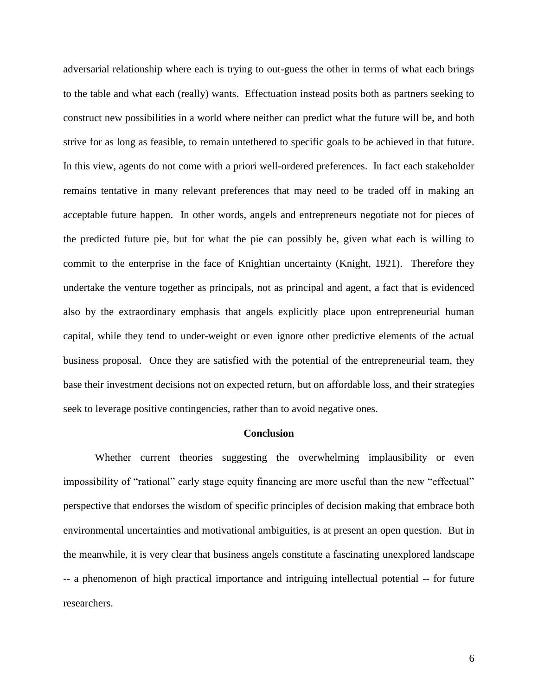adversarial relationship where each is trying to out-guess the other in terms of what each brings to the table and what each (really) wants. Effectuation instead posits both as partners seeking to construct new possibilities in a world where neither can predict what the future will be, and both strive for as long as feasible, to remain untethered to specific goals to be achieved in that future. In this view, agents do not come with a priori well-ordered preferences. In fact each stakeholder remains tentative in many relevant preferences that may need to be traded off in making an acceptable future happen. In other words, angels and entrepreneurs negotiate not for pieces of the predicted future pie, but for what the pie can possibly be, given what each is willing to commit to the enterprise in the face of Knightian uncertainty (Knight, 1921). Therefore they undertake the venture together as principals, not as principal and agent, a fact that is evidenced also by the extraordinary emphasis that angels explicitly place upon entrepreneurial human capital, while they tend to under-weight or even ignore other predictive elements of the actual business proposal. Once they are satisfied with the potential of the entrepreneurial team, they base their investment decisions not on expected return, but on affordable loss, and their strategies seek to leverage positive contingencies, rather than to avoid negative ones.

## **Conclusion**

Whether current theories suggesting the overwhelming implausibility or even impossibility of "rational" early stage equity financing are more useful than the new "effectual" perspective that endorses the wisdom of specific principles of decision making that embrace both environmental uncertainties and motivational ambiguities, is at present an open question. But in the meanwhile, it is very clear that business angels constitute a fascinating unexplored landscape -- a phenomenon of high practical importance and intriguing intellectual potential -- for future researchers.